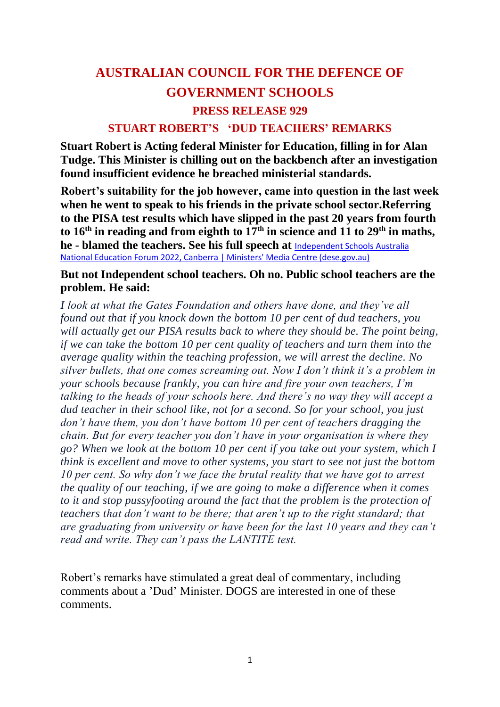## **AUSTRALIAN COUNCIL FOR THE DEFENCE OF GOVERNMENT SCHOOLS PRESS RELEASE 929 STUART ROBERT'S 'DUD TEACHERS' REMARKS**

**Stuart Robert is Acting federal Minister for Education, filling in for Alan Tudge. This Minister is chilling out on the backbench after an investigation found insufficient evidence he breached ministerial standards.**

**Robert's suitability for the job however, came into question in the last week when he went to speak to his friends in the private school sector.Referring to the PISA test results which have slipped in the past 20 years from fourth**  to  $16^{th}$  in reading and from eighth to  $17^{th}$  in science and 11 to  $29^{th}$  in maths, **he - blamed the teachers. See his full speech at** [Independent Schools Australia](https://ministers.dese.gov.au/robert/independent-schools-australia-national-education-forum-2022-canberra)  [National Education Forum 2022, Canberra | Ministers' Media Centre \(dese.gov.au\)](https://ministers.dese.gov.au/robert/independent-schools-australia-national-education-forum-2022-canberra)

## **But not Independent school teachers. Oh no. Public school teachers are the problem. He said:**

*I look at what the Gates Foundation and others have done, and they've all found out that if you knock down the bottom 10 per cent of dud teachers, you will actually get our PISA results back to where they should be. The point being, if we can take the bottom 10 per cent quality of teachers and turn them into the average quality within the teaching profession, we will arrest the decline. No silver bullets, that one comes screaming out. Now I don't think it's a problem in your schools because frankly, you can hire and fire your own teachers, I'm talking to the heads of your schools here. And there's no way they will accept a dud teacher in their school like, not for a second. So for your school, you just don't have them, you don't have bottom 10 per cent of teachers dragging the chain. But for every teacher you don't have in your organisation is where they go? When we look at the bottom 10 per cent if you take out your system, which I think is excellent and move to other systems, you start to see not just the bottom 10 per cent. So why don't we face the brutal reality that we have got to arrest the quality of our teaching, if we are going to make a difference when it comes to it and stop pussyfooting around the fact that the problem is the protection of teachers that don't want to be there; that aren't up to the right standard; that are graduating from university or have been for the last 10 years and they can't read and write. They can't pass the LANTITE test.*

Robert's remarks have stimulated a great deal of commentary, including comments about a 'Dud' Minister. DOGS are interested in one of these comments.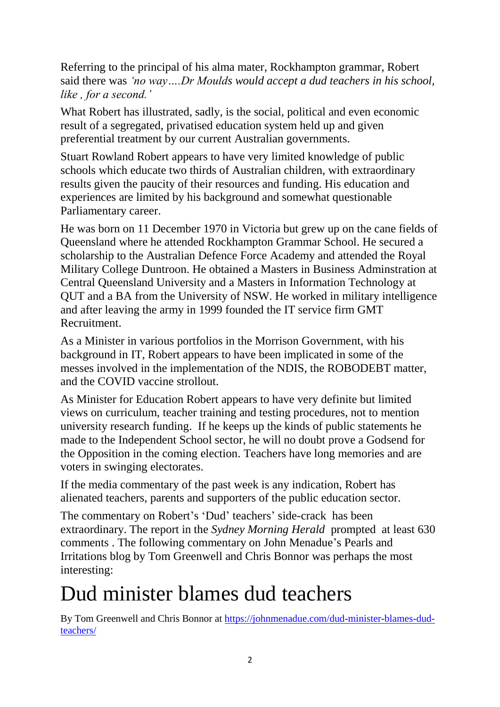Referring to the principal of his alma mater, Rockhampton grammar, Robert said there was *'no way….Dr Moulds would accept a dud teachers in his school, like , for a second.'*

What Robert has illustrated, sadly, is the social, political and even economic result of a segregated, privatised education system held up and given preferential treatment by our current Australian governments.

Stuart Rowland Robert appears to have very limited knowledge of public schools which educate two thirds of Australian children, with extraordinary results given the paucity of their resources and funding. His education and experiences are limited by his background and somewhat questionable Parliamentary career.

He was born on 11 December 1970 in Victoria but grew up on the cane fields of Queensland where he attended Rockhampton Grammar School. He secured a scholarship to the Australian Defence Force Academy and attended the Royal Military College Duntroon. He obtained a Masters in Business Adminstration at Central Queensland University and a Masters in Information Technology at QUT and a BA from the University of NSW. He worked in military intelligence and after leaving the army in 1999 founded the IT service firm GMT Recruitment.

As a Minister in various portfolios in the Morrison Government, with his background in IT, Robert appears to have been implicated in some of the messes involved in the implementation of the NDIS, the ROBODEBT matter, and the COVID vaccine strollout.

As Minister for Education Robert appears to have very definite but limited views on curriculum, teacher training and testing procedures, not to mention university research funding. If he keeps up the kinds of public statements he made to the Independent School sector, he will no doubt prove a Godsend for the Opposition in the coming election. Teachers have long memories and are voters in swinging electorates.

If the media commentary of the past week is any indication, Robert has alienated teachers, parents and supporters of the public education sector.

The commentary on Robert's 'Dud' teachers' side-crack has been extraordinary. The report in the *Sydney Morning Herald* prompted at least 630 comments . The following commentary on John Menadue's Pearls and Irritations blog by Tom Greenwell and Chris Bonnor was perhaps the most interesting:

## Dud minister blames dud teachers

By [Tom Greenwell](https://johnmenadue.com/author/tom-greenwell/) and [Chris Bonnor](https://johnmenadue.com/author/chris-bonnor/) at [https://johnmenadue.com/dud-minister-blames-dud](https://johnmenadue.com/dud-minister-blames-dud-teachers/)[teachers/](https://johnmenadue.com/dud-minister-blames-dud-teachers/)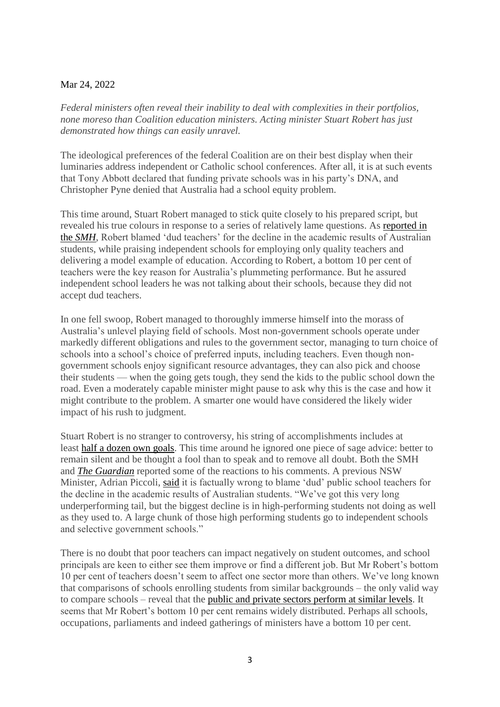## Mar 24, 2022

*Federal ministers often reveal their inability to deal with complexities in their portfolios, none moreso than Coalition education ministers. Acting minister Stuart Robert has just demonstrated how things can easily unravel.*

The ideological preferences of the federal Coalition are on their best display when their luminaries address independent or Catholic school conferences. After all, it is at such events that Tony Abbott declared that funding private schools was in his party's DNA, and Christopher Pyne denied that Australia had a school equity problem.

This time around, Stuart Robert managed to stick quite closely to his prepared script, but revealed his true colours in response to a series of relatively lame questions. As [reported in](https://www.smh.com.au/politics/federal/education-minister-blames-dud-teachers-for-declining-education-results-20220317-p5a5k6.html?btis)  the *[SMH](https://www.smh.com.au/politics/federal/education-minister-blames-dud-teachers-for-declining-education-results-20220317-p5a5k6.html?btis)*, Robert blamed 'dud teachers' for the decline in the academic results of Australian students, while praising independent schools for employing only quality teachers and delivering a model example of education. According to Robert, a bottom 10 per cent of teachers were the key reason for Australia's plummeting performance. But he assured independent school leaders he was not talking about their schools, because they did not accept dud teachers.

In one fell swoop, Robert managed to thoroughly immerse himself into the morass of Australia's unlevel playing field of schools. Most non-government schools operate under markedly different obligations and rules to the government sector, managing to turn choice of schools into a school's choice of preferred inputs, including teachers. Even though nongovernment schools enjoy significant resource advantages, they can also pick and choose their students — when the going gets tough, they send the kids to the public school down the road. Even a moderately capable minister might pause to ask why this is the case and how it might contribute to the problem. A smarter one would have considered the likely wider impact of his rush to judgment.

Stuart Robert is no stranger to controversy, his string of accomplishments includes at least [half a dozen own goals.](https://en.wikipedia.org/wiki/Stuart_Robert) This time around he ignored one piece of sage advice: better to remain silent and be thought a fool than to speak and to remove all doubt. Both the SMH and *[The Guardian](https://www.theguardian.com/australia-news/2022/mar/17/stuart-robert-says-dud-teachers-not-an-issue-in-australias-independent-schools?CMP=Share_iOSApp_Other)* reported some of the reactions to his comments. A previous NSW Minister, Adrian Piccoli, [said](https://www.smh.com.au/politics/federal/minister-s-dud-teachers-claim-is-factually-wrong-and-bad-politics-ex-nsw-education-minister-20220318-p5a5th.html?btis) it is factually wrong to blame 'dud' public school teachers for the decline in the academic results of Australian students. "We've got this very long underperforming tail, but the biggest decline is in high-performing students not doing as well as they used to. A large chunk of those high performing students go to independent schools and selective government schools."

There is no doubt that poor teachers can impact negatively on student outcomes, and school principals are keen to either see them improve or find a different job. But Mr Robert's bottom 10 per cent of teachers doesn't seem to affect one sector more than others. We've long known that comparisons of schools enrolling students from similar backgrounds – the only valid way to compare schools – reveal that the [public and private sectors perform at similar levels.](https://link.springer.com/article/10.1007/s13384-021-00498-w) It seems that Mr Robert's bottom 10 per cent remains widely distributed. Perhaps all schools, occupations, parliaments and indeed gatherings of ministers have a bottom 10 per cent.